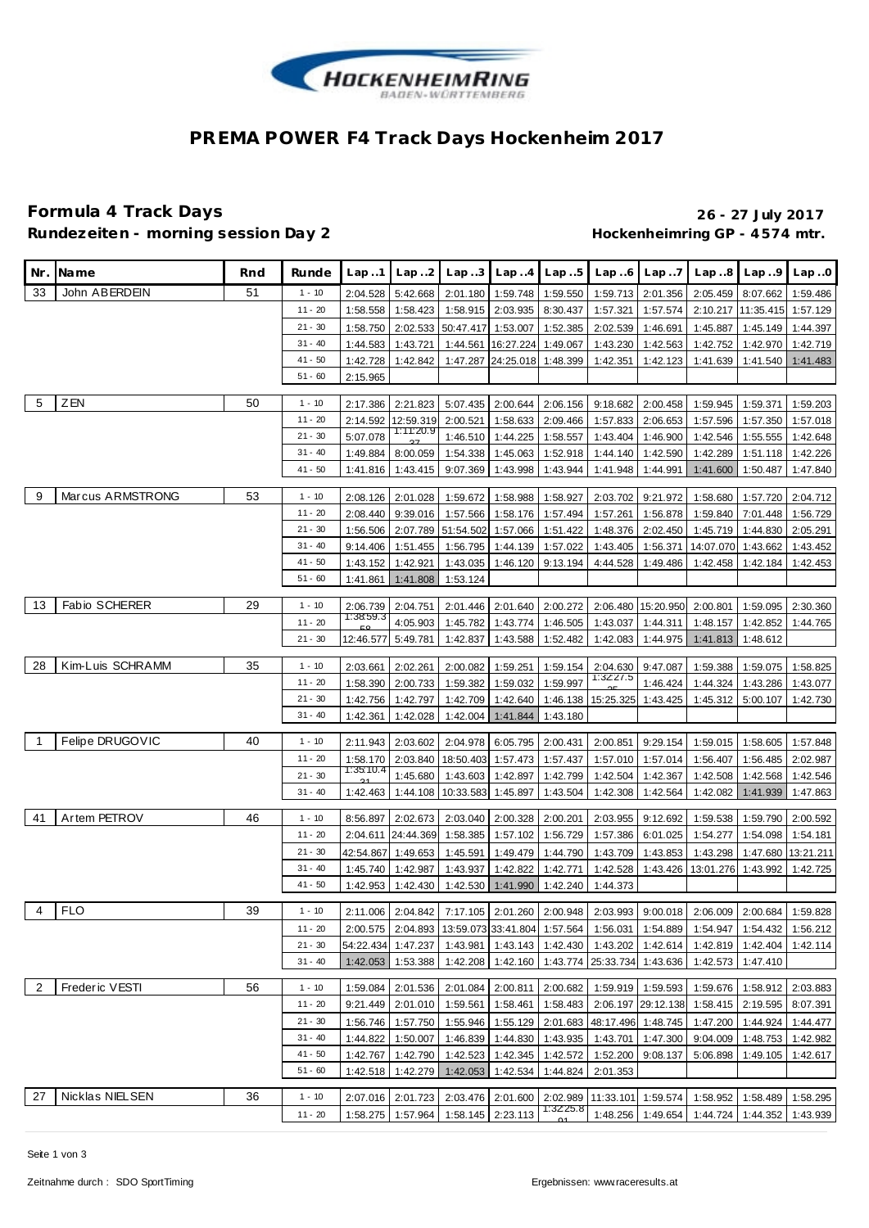

## **PREMA POWER F4 Track Days Hockenheim 2017**

### **Formula 4 Track Days 26 - 27 July 2017** Rundezeiten - morning session Day 2 **Bundezeiten - morning session Day 2 Hockenheimring GP** - 4574 mtr.

| Nr.            | Na me                | Rnd | Runde                  | Lap.1                 | Lap.2                         | Lap.3                 |                                                                  | $Lap. .4$ $Lap. .5$  | Lap.6                       | Lap.7                         |                                                                                           | $Lap8$ $Lap9$ $Lap0$           |                      |
|----------------|----------------------|-----|------------------------|-----------------------|-------------------------------|-----------------------|------------------------------------------------------------------|----------------------|-----------------------------|-------------------------------|-------------------------------------------------------------------------------------------|--------------------------------|----------------------|
| 33             | John ABERDEIN        | 51  | $1 - 10$               | 2:04.528              | 5:42.668                      | 2:01.180              | 1:59.748 1:59.550                                                |                      | 1:59.713                    | 2:01.356                      | 2:05.459                                                                                  | 8:07.662                       | 1:59.486             |
|                |                      |     | $11 - 20$              | 1:58.558              | 1:58.423                      | 1:58.915              | 2:03.935                                                         | 8:30.437             | 1:57.321                    | 1:57.574                      |                                                                                           | 2:10.217 11:35.415             | 1:57.129             |
|                |                      |     | $21 - 30$              | 1:58.750              | 2:02.533                      | 50:47.417             | 1:53.007                                                         | 1:52.385             | 2:02.539                    | 1:46.691                      | 1:45.887                                                                                  | 1:45.149                       | 1:44.397             |
|                |                      |     | $31 - 40$              | 1:44.583              | 1:43.721                      | 1:44.561              | 16:27.224                                                        | 1:49.067             | 1:43.230                    | 1:42.563                      | 1:42.752                                                                                  | 1:42.970                       | 1:42.719             |
|                |                      |     | $41 - 50$              | 1:42.728              | 1:42.842                      | 1:47.287              | 24:25.018 1:48.399                                               |                      | 1:42.351                    | 1:42.123                      | 1:41.639                                                                                  | 1:41.540                       | 1:41.483             |
|                |                      |     | $51 - 60$              | 2:15.965              |                               |                       |                                                                  |                      |                             |                               |                                                                                           |                                |                      |
| -5             | ZEN                  | 50  | $1 - 10$               | 2:17.386              | 2:21.823                      | 5:07.435              | 2:00.644                                                         | 2:06.156             | 9:18.682                    | 2:00.458                      | 1:59.945                                                                                  | 1:59.371                       | 1:59.203             |
|                |                      |     | $11 - 20$              | 2:14.592              | 12:59.319                     | 2:00.521              | 1:58.633                                                         | 2:09.466             | 1:57.833                    | 2:06.653                      | 1:57.596                                                                                  | 1:57.350                       | 1:57.018             |
|                |                      |     | $21 - 30$              | 5:07.078              | 1:11:20.9                     | 1:46.510              | 1:44.225                                                         | 1:58.557             | 1:43.404                    | 1:46.900                      | 1:42.546                                                                                  | 1:55.555                       | 1:42.648             |
|                |                      |     | $31 - 40$              | 1:49.884              | 8:00.059                      | 1:54.338              | 1:45.063                                                         | 1:52.918             | 1:44.140                    | 1:42.590                      | 1:42.289                                                                                  | 1:51.118                       | 1:42.226             |
|                |                      |     | $41 - 50$              | 1:41.816              | 1:43.415                      | 9:07.369              | 1:43.998                                                         | 1:43.944             | 1:41.948                    | 1:44.991                      | 1:41.600                                                                                  | 1:50.487                       | 1:47.840             |
| 9              | Marcus ARMSTRONG     | 53  |                        |                       |                               |                       |                                                                  |                      |                             |                               |                                                                                           |                                |                      |
|                |                      |     | $1 - 10$<br>11 - 20    | 2:08.126              | 2:01.028                      | 1:59.672              | 1:58.988                                                         | 1:58.927             | 2:03.702                    | 9:21.972                      | 1:58.680                                                                                  | 1:57.720                       | 2:04.712             |
|                |                      |     | $21 - 30$              | 2:08.440              | 9:39.016<br>2:07.789          | 1:57.566              | 1:58.176                                                         | 1:57.494             | 1:57.261                    | 1:56.878                      | 1:59.840                                                                                  | 7:01.448                       | 1:56.729             |
|                |                      |     | $31 - 40$              | 1:56.506<br>9:14.406  | 1:51.455                      | 51:54.502<br>1:56.795 | 1:57.066<br>1:44.139                                             | 1:51.422<br>1:57.022 | 1:48.376<br>1:43.405        | 2:02.450<br>1:56.371          | 1:45.719<br>14:07.070                                                                     | 1:44.830<br>1:43.662           | 2:05.291<br>1:43.452 |
|                |                      |     | $41 - 50$              | 1:43.152              | 1:42.921                      | 1:43.035              | 1:46.120                                                         | 9:13.194             | 4:44.528                    | 1:49.486                      | 1:42.458                                                                                  | 1:42.184                       | 1:42.453             |
|                |                      |     | $51 - 60$              | 1:41.861              | 1:41.808                      | 1:53.124              |                                                                  |                      |                             |                               |                                                                                           |                                |                      |
|                |                      |     |                        |                       |                               |                       |                                                                  |                      |                             |                               |                                                                                           |                                |                      |
| 13             | <b>Fabio SCHERER</b> | 29  | $1 - 10$               | 2:06.739<br>1:38:59.3 | 2:04.751                      | 2:01.446              | 2:01.640                                                         | 2:00.272             | 2:06.480                    | 15:20.950                     | 2:00.801                                                                                  | 1:59.095                       | 2:30.360             |
|                |                      |     | $11 - 20$              |                       | 4:05.903                      | 1:45.782              | 1:43.774                                                         | 1:46.505             | 1:43.037                    | 1:44.311                      | 1:48.157                                                                                  | 1:42.852                       | 1:44.765             |
|                |                      |     | $21 - 30$              | 12:46.577             | 5:49.781                      | 1:42.837              | 1:43.588                                                         | 1:52.482             | 1:42.083                    | 1:44.975                      | 1:41.813                                                                                  | 1:48.612                       |                      |
| 28             | Kim-Luis SCHRAMM     | 35  | $1 - 10$               | 2:03.661              | 2:02.261                      | 2:00.082              | 1:59.251                                                         | 1:59.154             | 2:04.630                    | 9:47.087                      | 1:59.388                                                                                  | 1:59.075                       | 1:58.825             |
|                |                      |     | $11 - 20$              | 1:58.390              | 2:00.733                      | 1:59.382              | 1:59.032                                                         | 1:59.997             | 1:32.27.5                   | 1:46.424                      | 1:44.324                                                                                  | 1:43.286                       | 1:43.077             |
|                |                      |     | $21 - 30$              | 1:42.756              | 1:42.797                      | 1:42.709              | 1:42.640                                                         | 1:46.138             | 15:25.325                   | 1:43.425                      | 1:45.312                                                                                  | 5:00.107                       | 1:42.730             |
|                |                      |     | $31 - 40$              | 1:42.361              | 1:42.028                      | 1:42.004              | 1:41.844                                                         | 1:43.180             |                             |                               |                                                                                           |                                |                      |
| -1             | Felipe DRUGOVIC      | 40  | $1 - 10$               | 2:11.943              | 2:03.602                      | 2:04.978              | 6:05.795                                                         | 2:00.431             | 2:00.851                    | 9:29.154                      | 1:59.015                                                                                  | 1:58.605                       | 1:57.848             |
|                |                      |     | $11 - 20$              | 1:58.170              | 2:03.840                      | 18:50.403             | 1:57.473                                                         | 1:57.437             | 1:57.010                    | 1:57.014                      | 1:56.407                                                                                  | 1:56.485                       | 2:02.987             |
|                |                      |     | $21 - 30$              | 1:35:10.4             | 1:45.680                      | 1:43.603              | 1:42.897                                                         | 1:42.799             | 1:42.504                    | 1:42.367                      | 1:42.508                                                                                  | 1:42.568                       | 1:42.546             |
|                |                      |     | $31 - 40$              | 1:42.463              | 1:44.108                      | 10:33.583             | 1:45.897                                                         | 1:43.504             | 1:42.308                    | 1:42.564                      | 1:42.082                                                                                  | 1:41.939                       | 1:47.863             |
| 41             | Artem PETROV         | 46  | $1 - 10$               | 8:56.897              | 2:02.673                      | 2:03.040              | 2:00.328                                                         | 2:00.201             | 2:03.955                    | 9:12.692                      | 1:59.538                                                                                  | 1:59.790                       | 2:00.592             |
|                |                      |     | 11 - 20                | 2:04.611              | 24:44.369                     | 1:58.385              | 1:57.102                                                         | 1:56.729             | 1:57.386                    | 6:01.025                      | 1:54.277                                                                                  | 1:54.098                       | 1:54.181             |
|                |                      |     | $21 - 30$              | 42:54.867             | 1:49.653                      | 1:45.591              | 1:49.479                                                         | 1:44.790             | 1:43.709                    | 1:43.853                      | 1:43.298                                                                                  | 1:47.680                       | 13:21.211            |
|                |                      |     | $31 - 40$              | 1:45.740              | 1:42.987                      | 1:43.937              | 1:42.822                                                         | 1:42.771             | 1:42.528                    | 1:43.426                      | 13:01.276                                                                                 | 1:43.992                       | 1:42.725             |
|                |                      |     | $41 - 50$              | 1:42.953              | 1:42.430                      | 1:42.530              | $1:41.990$ 1:42.240                                              |                      | 1:44.373                    |                               |                                                                                           |                                |                      |
|                | 4 FLO                | 39  | $1 - 10$               |                       |                               |                       |                                                                  |                      |                             |                               | 2:11.006 2:04.842 7:17.105 2:01.260 2:00.948 2:03.993 9:00.018 2:06.009 2:00.684 1:59.828 |                                |                      |
|                |                      |     | $11 - 20$              | 2:00.575              |                               |                       | 2:04.893   13:59.073   33:41.804   1:57.564                      |                      |                             | 1:56.031   1:54.889           |                                                                                           | 1:54.947   1:54.432   1:56.212 |                      |
|                |                      |     | $21 - 30$              |                       | 54:22.434 1:47.237            | 1:43.981              |                                                                  | 1:43.143 1:42.430    | 1:43.202                    | 1:42.614                      |                                                                                           | 1:42.819 1:42.404              | 1:42.114             |
|                |                      |     | $31 - 40$              | 1:42.053              | 1:53.388                      | 1:42.208              | 1:42.160                                                         |                      | 1:43.774 25:33.734 1:43.636 |                               | 1:42.573                                                                                  | 1:47.410                       |                      |
|                |                      |     |                        |                       |                               |                       |                                                                  |                      |                             |                               |                                                                                           |                                |                      |
| $\overline{2}$ | Frederic VESTI       | 56  | $1 - 10$               | 1:59.084              | 2:01.536                      | 2:01.084              | 2:00.811                                                         | 2:00.682             | 1:59.919                    | 1:59.593                      | 1:59.676                                                                                  |                                | 1:58.912 2:03.883    |
|                |                      |     | $11 - 20$              | 9:21.449              | 2:01.010                      | 1:59.561              | 1:58.461                                                         | 1:58.483             | 2:06.197                    |                               | 29:12.138 1:58.415                                                                        | 2:19.595                       | 8:07.391             |
|                |                      |     | $21 - 30$<br>$31 - 40$ | 1:56.746              | 1:57.750                      | 1:55.946              | 1:55.129                                                         | 2:01.683             | 48:17.496                   |                               | 1:48.745 1:47.200                                                                         | 1:44.924                       | 1:44.477             |
|                |                      |     | 41 - 50                | 1:44.822              | 1:50.007<br>1:42.767 1:42.790 | 1:46.839<br>1:42.523  | 1:44.830<br>1:42.345 1:42.572                                    | 1:43.935             | 1:43.701                    | 1:47.300<br>1:52.200 9:08.137 | 9:04.009<br>5:06.898                                                                      | 1:48.753<br>1:49.105           | 1:42.982<br>1:42.617 |
|                |                      |     | $51 - 60$              | 1:42.518              | 1:42.279                      | 1:42.053              | 1:42.534                                                         | 1:44.824             | 2:01.353                    |                               |                                                                                           |                                |                      |
|                |                      |     |                        |                       |                               |                       |                                                                  |                      |                             |                               |                                                                                           |                                |                      |
| 27             | Nicklas NIELSEN      | 36  | $1 - 10$               |                       |                               |                       | 2:07.016   2:01.723   2:03.476   2:01.600   2:02.989   11:33.101 |                      |                             | 1:59.574                      |                                                                                           | 1:58.952 1:58.489              | 1:58.295             |
|                |                      |     | $11 - 20$              |                       | 1:58.275 1:57.964             |                       | 1:58.145 2:23.113                                                | 1:32.25.8            | 1:48.256                    |                               | 1:49.654   1:44.724   1:44.352   1:43.939                                                 |                                |                      |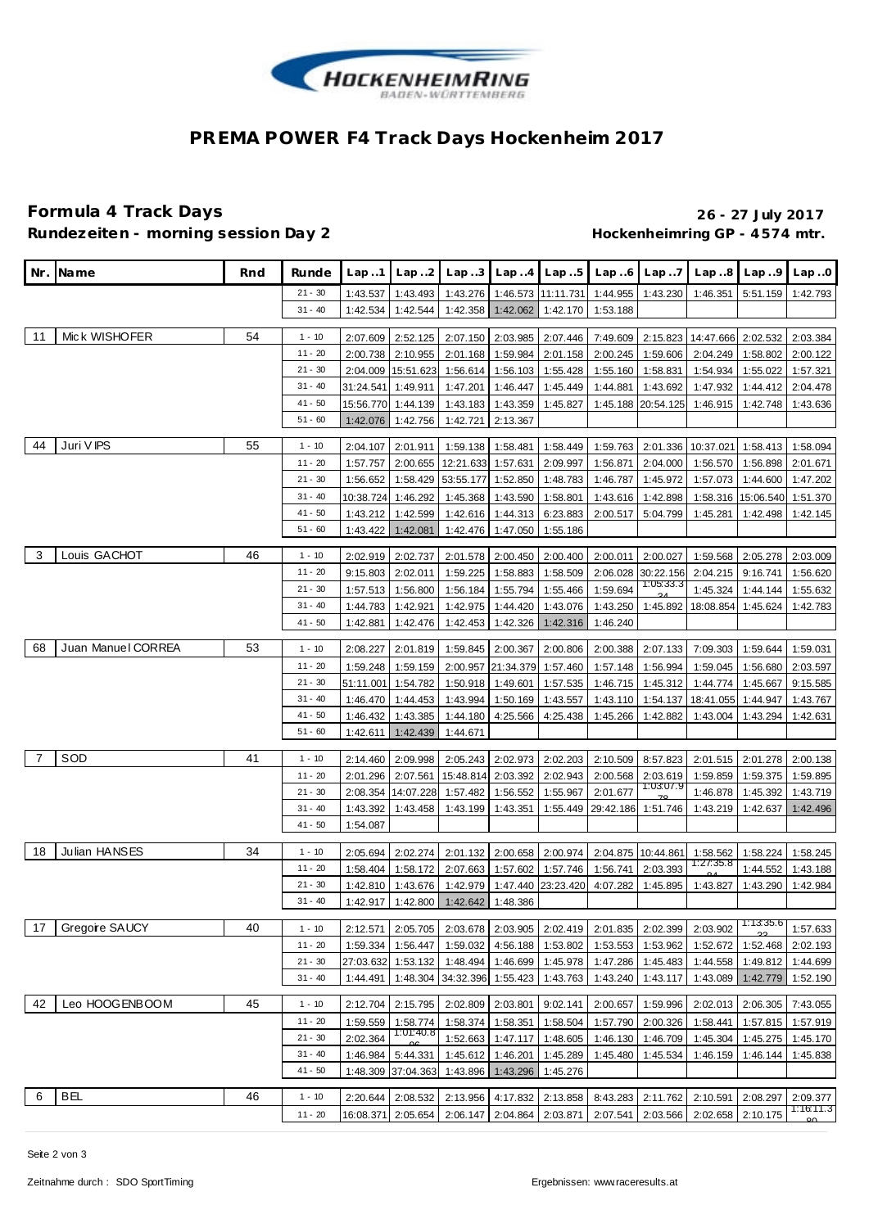

## **PREMA POWER F4 Track Days Hockenheim 2017**

### **Formula 4 Track Days 26 - 27 July 2017** Rundezeiten - morning session Day 2 **Bandezeiten - morning session Day 2 Hockenheimring GP** - 4574 mtr.

|    | Nr. Name           | Rnd | Runde     | Lap1      | Lap.2              | Lap.3     |                   | Lap.4 Lap.5        | Lap.6                       | Lap.7              | Lap.8                               | Lap.9     | Lap.0                 |
|----|--------------------|-----|-----------|-----------|--------------------|-----------|-------------------|--------------------|-----------------------------|--------------------|-------------------------------------|-----------|-----------------------|
|    |                    |     | $21 - 30$ | 1:43.537  | 1:43.493           | 1:43.276  |                   | 1:46.573 11:11.731 | 1:44.955                    | 1:43.230           | 1:46.351                            | 5:51.159  | 1:42.793              |
|    |                    |     | $31 - 40$ | 1:42.534  | 1:42.544           | 1:42.358  | 1:42.062          | 1:42.170           | 1:53.188                    |                    |                                     |           |                       |
|    |                    |     |           |           |                    |           |                   |                    |                             |                    |                                     |           |                       |
| 11 | Mick WISHOFER      | 54  | $1 - 10$  | 2:07.609  | 2:52.125           | 2:07.150  | 2:03.985          | 2:07.446           | 7:49.609                    |                    | 2:15.823 14:47.666 2:02.532         |           | 2:03.384              |
|    |                    |     | $11 - 20$ | 2:00.738  | 2:10.955           | 2:01.168  | 1:59.984          | 2:01.158           | 2:00.245                    | 1:59.606           | 2:04.249                            | 1:58.802  | 2:00.122              |
|    |                    |     | $21 - 30$ | 2:04.009  | 15:51.623          | 1:56.614  | 1:56.103          | 1:55.428           | 1:55.160                    | 1:58.831           | 1:54.934                            | 1:55.022  | 1:57.321              |
|    |                    |     | $31 - 40$ | 31:24.541 | 1:49.911           | 1:47.201  | 1:46.447          | 1:45.449           | 1:44.881                    | 1:43.692           | 1:47.932                            | 1:44.412  | 2:04.478              |
|    |                    |     | 41 - 50   |           | 15:56.770 1:44.139 | 1:43.183  | 1:43.359          | 1:45.827           |                             | 1:45.188 20:54.125 | 1:46.915                            | 1:42.748  | 1:43.636              |
|    |                    |     | $51 - 60$ | 1:42.076  | 1:42.756           | 1:42.721  | 2:13.367          |                    |                             |                    |                                     |           |                       |
| 44 | Juri V IPS         | 55  | $1 - 10$  | 2:04.107  | 2:01.911           | 1:59.138  | 1:58.481          | 1:58.449           |                             |                    | 1:59.763 2:01.336 10:37.021         | 1:58.413  | 1:58.094              |
|    |                    |     | 11 - 20   | 1:57.757  | 2:00.655           | 12:21.633 | 1:57.631          | 2:09.997           | 1:56.871                    | 2:04.000           | 1:56.570                            | 1:56.898  | 2:01.671              |
|    |                    |     | $21 - 30$ | 1:56.652  | 1:58.429           | 53:55.177 | 1:52.850          | 1:48.783           | 1:46.787                    | 1:45.972           | 1:57.073                            | 1:44.600  | 1:47.202              |
|    |                    |     | $31 - 40$ | 10:38.724 | 1:46.292           | 1:45.368  | 1:43.590          | 1:58.801           | 1:43.616                    | 1:42.898           | 1:58.316                            | 15:06.540 | 1:51.370              |
|    |                    |     | $41 - 50$ | 1:43.212  | 1:42.599           | 1:42.616  | 1:44.313          | 6:23.883           | 2:00.517                    | 5:04.799           | 1:45.281                            | 1:42.498  | 1:42.145              |
|    |                    |     | $51 - 60$ | 1:43.422  | 1:42.081           | 1:42.476  | 1:47.050          | 1:55.186           |                             |                    |                                     |           |                       |
|    |                    |     |           |           |                    |           |                   |                    |                             |                    |                                     |           |                       |
| -3 | Louis GACHOT       | 46  | $1 - 10$  | 2:02.919  | 2:02.737           | 2:01.578  | 2:00.450          | 2:00.400           | 2:00.011                    | 2:00.027           | 1:59.568                            | 2:05.278  | 2:03.009              |
|    |                    |     | 11 - 20   | 9:15.803  | 2:02.011           | 1:59.225  | 1:58.883          | 1:58.509           | 2:06.028                    | 30:22.156          | 2:04.215                            | 9:16.741  | 1:56.620              |
|    |                    |     | $21 - 30$ | 1:57.513  | 1:56.800           | 1:56.184  | 1:55.794          | 1:55.466           | 1:59.694                    | 1:05:33.3          | 1:45.324                            | 1:44.144  | 1:55.632              |
|    |                    |     | $31 - 40$ | 1:44.783  | 1:42.921           | 1:42.975  | 1:44.420          | 1:43.076           | 1:43.250                    | 1:45.892           | 18:08.854                           | 1:45.624  | 1:42.783              |
|    |                    |     | 41 - 50   | 1:42.881  | 1:42.476           | 1:42.453  | 1:42.326          | 1:42.316           | 1:46.240                    |                    |                                     |           |                       |
| 68 | Juan Manuel CORREA | 53  | $1 - 10$  | 2:08.227  | 2:01.819           | 1:59.845  | 2:00.367          | 2:00.806           | 2:00.388                    | 2:07.133           | 7:09.303                            | 1:59.644  | 1:59.031              |
|    |                    |     | 11 - 20   | 1:59.248  | 1:59.159           | 2:00.957  | 21:34.379         | 1:57.460           | 1:57.148                    | 1:56.994           | 1:59.045                            | 1:56.680  | 2:03.597              |
|    |                    |     | $21 - 30$ | 51:11.001 | 1:54.782           | 1:50.918  | 1:49.601          | 1:57.535           | 1:46.715                    | 1:45.312           | 1:44.774                            | 1:45.667  | 9:15.585              |
|    |                    |     | $31 - 40$ | 1:46.470  | 1:44.453           | 1:43.994  | 1:50.169          | 1:43.557           | 1:43.110                    | 1:54.137           | 18:41.055                           | 1:44.947  | 1:43.767              |
|    |                    |     | $41 - 50$ | 1:46.432  | 1:43.385           | 1:44.180  | 4:25.566          | 4:25.438           | 1:45.266                    | 1:42.882           | 1:43.004                            | 1:43.294  | 1:42.631              |
|    |                    |     | $51 - 60$ | 1:42.611  | 1:42.439           | 1:44.671  |                   |                    |                             |                    |                                     |           |                       |
|    |                    |     |           |           |                    |           |                   |                    |                             |                    |                                     |           |                       |
| 7  | SOD                | 41  | $1 - 10$  | 2:14.460  | 2:09.998           | 2:05.243  | 2:02.973          | 2:02.203           | 2:10.509                    | 8:57.823           | 2:01.515                            | 2:01.278  | 2:00.138              |
|    |                    |     | $11 - 20$ | 2:01.296  | 2:07.561           | 15:48.814 | 2:03.392          | 2:02.943           | 2:00.568                    | 2:03.619           | 1:59.859                            | 1:59.375  | 1:59.895              |
|    |                    |     | $21 - 30$ | 2:08.354  | 14:07.228          | 1:57.482  | 1:56.552          | 1:55.967           | 2:01.677                    | 1:03:07.9          | 1:46.878                            | 1:45.392  | 1:43.719              |
|    |                    |     | $31 - 40$ | 1:43.392  | 1:43.458           | 1:43.199  | 1:43.351          |                    | 1:55.449 29:42.186 1:51.746 |                    | 1:43.219                            | 1:42.637  | 1:42.496              |
|    |                    |     | $41 - 50$ | 1:54.087  |                    |           |                   |                    |                             |                    |                                     |           |                       |
| 18 | Julian HANSES      | 34  | $1 - 10$  | 2:05.694  | 2:02.274           | 2:01.132  | 2:00.658          | 2:00.974           |                             | 2:04.875 10:44.861 | 1:58.562                            | 1:58.224  | 1:58.245              |
|    |                    |     | $11 - 20$ | 1:58.404  | 1:58.172           | 2:07.663  | 1:57.602          | 1:57.746           | 1:56.741                    | 2:03.393           | 1:27:35.8                           | 1:44.552  | 1:43.188              |
|    |                    |     | $21 - 30$ | 1:42.810  | 1:43.676           | 1:42.979  | 1:47.440          | 23:23.420          | 4:07.282                    | 1:45.895           | 1:43.827                            | 1:43.290  | 1:42.984              |
|    |                    |     | $31 - 40$ | 1:42.917  | 1:42.800           | 1:42.642  | 1:48.386          |                    |                             |                    |                                     |           |                       |
|    |                    |     |           |           |                    |           |                   |                    |                             |                    |                                     | 1:13:35.6 |                       |
| 17 | Gregoire SAUCY     | 40  | $1 - 10$  | 2:12.571  | 2:05.705           | 2:03.678  | 2:03.905          | 2:02.419           | 2:01.835                    | 2:02.399           | 2:03.902                            |           | 1:57.633              |
|    |                    |     | $11 - 20$ | 1:59.334  | 1:56.447           | 1:59.032  | 4:56.188          | 1:53.802           | 1:53.553                    | 1:53.962           | 1:52.672                            | 1:52.468  | 2:02.193              |
|    |                    |     | $21 - 30$ | 27:03.632 | 1:53.132           | 1:48.494  | 1:46.699          | 1:45.978           | 1:47.286                    | 1:45.483           | 1:44.558                            | 1:49.812  | 1:44.699              |
|    |                    |     | $31 - 40$ | 1:44.491  | 1:48.304           | 34:32.396 | 1:55.423          | 1:43.763           | 1:43.240                    | 1:43.117           | 1:43.089                            | 1:42.779  | 1:52.190              |
| 42 | Leo HOOGENBOOM     | 45  | $1 - 10$  | 2:12.704  | 2:15.795           | 2:02.809  | 2:03.801          | 9:02.141           | 2:00.657                    | 1:59.996           | 2:02.013                            | 2:06.305  | 7:43.055              |
|    |                    |     | $11 - 20$ | 1:59.559  | 1:58.774           | 1:58.374  | 1:58.351          | 1:58.504           | 1:57.790                    | 2:00.326           | 1:58.441                            | 1:57.815  | 1:57.919              |
|    |                    |     | $21 - 30$ | 2:02.364  | 1:01:40.8          | 1:52.663  | 1:47.117          | 1:48.605           | 1:46.130                    | 1:46.709           | 1:45.304                            | 1:45.275  | 1:45.170              |
|    |                    |     | $31 - 40$ | 1:46.984  | 5:44.331           | 1:45.612  | 1:46.201          | 1:45.289           | 1:45.480                    | 1:45.534           | 1:46.159                            | 1:46.144  | 1:45.838              |
|    |                    |     | 41 - 50   |           | 1:48.309 37:04.363 | 1:43.896  | 1:43.296          | 1:45.276           |                             |                    |                                     |           |                       |
| 6  | <b>BEL</b>         | 46  |           |           |                    |           |                   |                    |                             |                    |                                     |           |                       |
|    |                    |     | $1 - 10$  | 2:20.644  | 2:08.532           | 2:13.956  | 4:17.832          | 2:13.858           |                             | 8:43.283 2:11.762  | 2:10.591                            | 2:08.297  | 2:09.377<br>1:16:11.3 |
|    |                    |     | $11 - 20$ |           | 16:08.371 2:05.654 | 2:06.147  | 2:04.864 2:03.871 |                    |                             |                    | 2:07.541 2:03.566 2:02.658 2:10.175 |           |                       |

Seite 2 von 3